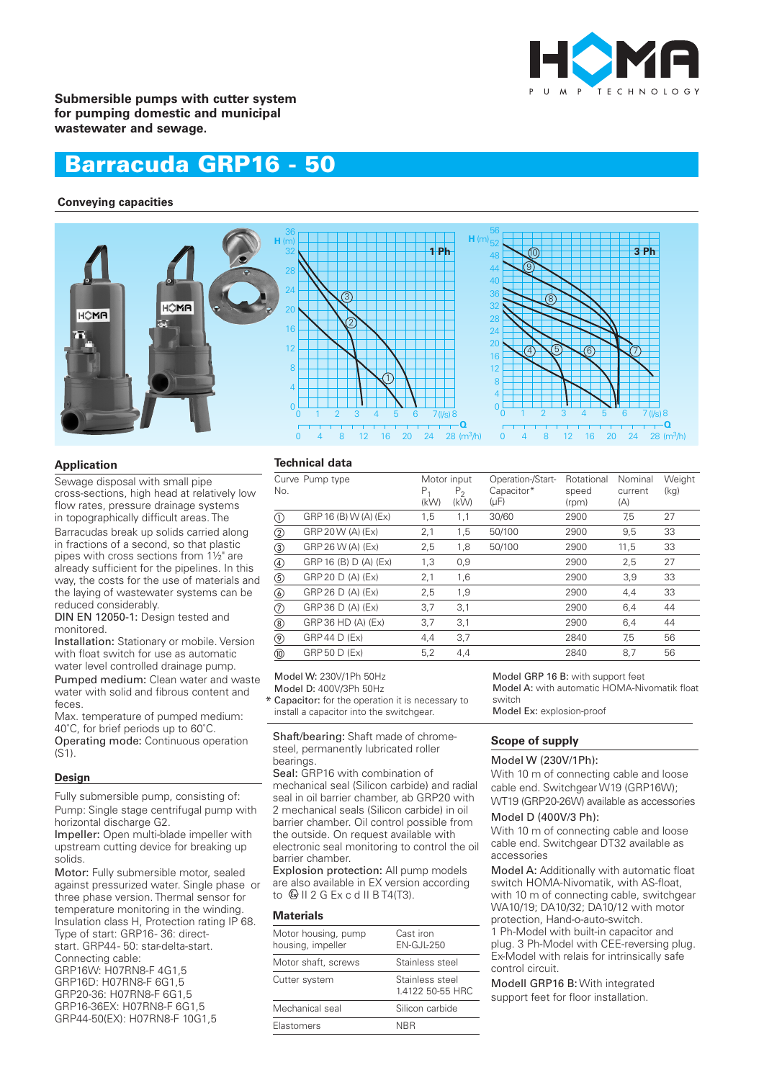

**Submersible pumps with cutter system for pumping domestic and municipal wastewater and sewage.**

# Barracuda GRP16 - 50

## **Conveying capacities**



#### **Application**

Sewage disposal with small pipe cross-sections, high head at relatively low flow rates, pressure drainage systems in topographically difficult areas. The Barracudas break up solids carried along in fractions of a second, so that plastic pipes with cross sections from 1½" are already sufficient for the pipelines. In this way, the costs for the use of materials and the laying of wastewater systems can be reduced considerably.

DIN EN 12050-1: Design tested and monitored.

Installation: Stationary or mobile. Version with float switch for use as automatic water level controlled drainage pump.

Pumped medium: Clean water and waste water with solid and fibrous content and feces.

Max. temperature of pumped medium: 40˚C, for brief periods up to 60˚C. Operating mode: Continuous operation  $(S1)$ .

#### **Design**

Fully submersible pump, consisting of: Pump: Single stage centrifugal pump with horizontal discharge G2.

Impeller: Open multi-blade impeller with upstream cutting device for breaking up solids.

Motor: Fully submersible motor, sealed against pressurized water. Single phase or three phase version. Thermal sensor for temperature monitoring in the winding. Insulation class H, Protection rating IP 68. Type of start: GRP16-36: directstart. GRP44 - 50: star-delta-start. Connecting cable: GRP16W: H07RN8-F 4G1,5 GRP16D: H07RN8-F 6G1,5 GRP20-36: H07RN8-F 6G1,5 GRP16-36EX: H07RN8-F 6G1,5 GRP44-50(EX): H07RN8-F 10G1,5

#### **Technical data**

| No.            | Curve Pump type       | Motor input<br>$P_1$<br>(kW) | P <sub>2</sub><br>(kW) | Operation-/Start-<br>Capacitor*<br>$(\mu F)$ | Rotational<br>speed<br>(rpm) | Nominal<br>current<br>(A) | Weight<br>(kg) |
|----------------|-----------------------|------------------------------|------------------------|----------------------------------------------|------------------------------|---------------------------|----------------|
| Œ              | GRP 16 (B) W (A) (Ex) | 1,5                          | 1,1                    | 30/60                                        | 2900                         | 7,5                       | 27             |
| ②              | GRP 20 W (A) (Ex)     | 2,1                          | 1,5                    | 50/100                                       | 2900                         | 9,5                       | 33             |
| ③              | GRP 26 W (A) (Ex)     | 2,5                          | 1,8                    | 50/100                                       | 2900                         | 11,5                      | 33             |
| ④              | GRP 16 (B) D (A) (Ex) | 1,3                          | 0,9                    |                                              | 2900                         | 2,5                       | 27             |
| $\circledS$    | GRP 20 D (A) (Ex)     | 2,1                          | 1,6                    |                                              | 2900                         | 3,9                       | 33             |
|                | GRP 26 D (A) (Ex)     | 2,5                          | 1,9                    |                                              | 2900                         | 4,4                       | 33             |
| ℗              | GRP 36 D (A) (Ex)     | 3,7                          | 3,1                    |                                              | 2900                         | 6,4                       | 44             |
| ⑧              | GRP 36 HD (A) (Ex)    | 3,7                          | 3,1                    |                                              | 2900                         | 6,4                       | 44             |
| $\circledcirc$ | GRP 44 D (Ex)         | 4,4                          | 3,7                    |                                              | 2840                         | 7,5                       | 56             |
| @              | <b>GRP 50 D (Ex)</b>  | 5,2                          | 4,4                    |                                              | 2840                         | 8,7                       | 56             |

Model W: 230V/1Ph 50Hz

Model D: 400V/3Ph 50Hz

Capacitor: for the operation it is necessary to \* install a capacitor into the switchgear.

Shaft/bearing: Shaft made of chromesteel, permanently lubricated roller bearings.

Seal: GRP16 with combination of mechanical seal (Silicon carbide) and radial seal in oil barrier chamber, ab GRP20 with 2 mechanical seals (Silicon carbide) in oil barrier chamber. Oil control possible from the outside. On request available with electronic seal monitoring to control the oil barrier chamber.

Explosion protection: All pump models are also available in EX version according to  $\mathbb Q$  II 2 G Ex c d II B T4(T3).

#### **Materials**

| Motor housing, pump<br>housing, impeller | Cast iron<br>EN-GJL-250             |
|------------------------------------------|-------------------------------------|
| Motor shaft, screws                      | Stainless steel                     |
| Cutter system                            | Stainless steel<br>1.4122 50-55 HRC |
| Mechanical seal                          | Silicon carbide                     |
| Elastomers                               | NRR                                 |

Model GRP 16 B: with support feet Model A: with automatic HOMA-Nivomatik float switch

Model Ex: explosion-proof

#### **Scope of supply**

### Model W (230V/1Ph):

With 10 m of connecting cable and loose cable end. Switchgear W19 (GRP16W); WT19 (GRP20-26W) available as accessories

#### Model D (400V/3 Ph):

With 10 m of connecting cable and loose cable end. Switchgear DT32 available as accessories

Model A: Additionally with automatic float switch HOMA-Nivomatik, with AS-float, with 10 m of connecting cable, switchgear WA10/19; DA10/32; DA10/12 with motor protection, Hand-o-auto-switch. 1 Ph-Model with built-in capacitor and plug. 3 Ph-Model with CEE-reversing plug. Ex-Model with relais for intrinsically safe control circuit.

Modell GRP16 B: With integrated support feet for floor installation.